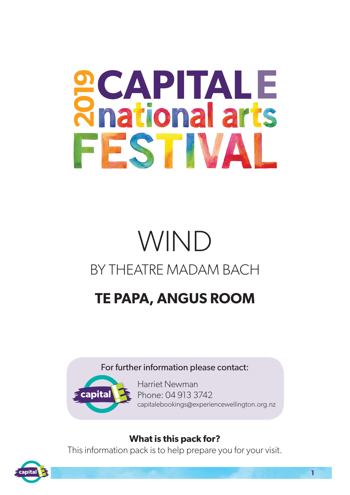# **SCAPITALE**<br>Rhational arts FESTIVAL

## WIND BY THEATRE MADAM BACH

### **TE PAPA, ANGUS ROOM**

#### For further information please contact:



Harriet Newman Phone: 04 913 3742 capitalebookings@experiencewellington.org.nz

#### **What is this pack for?**

This information pack is to help prepare you for your visit.

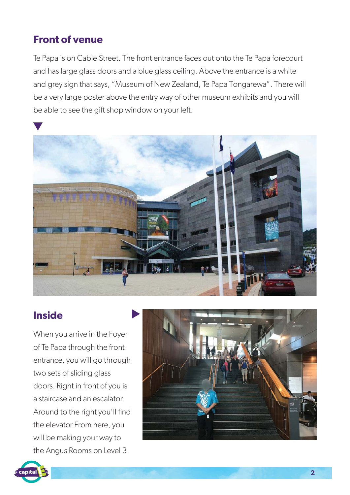#### **Front of venue**

Te Papa is on Cable Street. The front entrance faces out onto the Te Papa forecourt and has large glass doors and a blue glass ceiling. Above the entrance is a white and grey sign that says, "Museum of New Zealand, Te Papa Tongarewa". There will be a very large poster above the entry way of other museum exhibits and you will be able to see the gift shop window on your left.



#### **Inside**

When you arrive in the Foyer of Te Papa through the front entrance, you will go through two sets of sliding glass doors. Right in front of you is a staircase and an escalator. Around to the right you'll find the elevator.From here, you will be making your way to the Angus Rooms on Level 3.



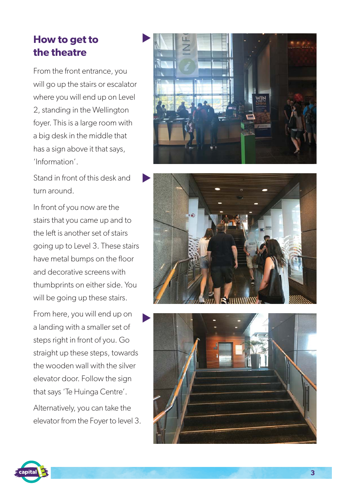#### **How to get to the theatre**

From the front entrance, you will go up the stairs or escalator where you will end up on Level 2, standing in the Wellington foyer. This is a large room with a big desk in the middle that has a sign above it that says, 'Information'.

Stand in front of this desk and turn around.

In front of you now are the stairs that you came up and to the left is another set of stairs going up to Level 3. These stairs have metal bumps on the floor and decorative screens with thumbprints on either side. You will be going up these stairs.

From here, you will end up on a landing with a smaller set of steps right in front of you. Go straight up these steps, towards the wooden wall with the silver elevator door. Follow the sign that says 'Te Huinga Centre'.

Alternatively, you can take the elevator from the Foyer to level 3.







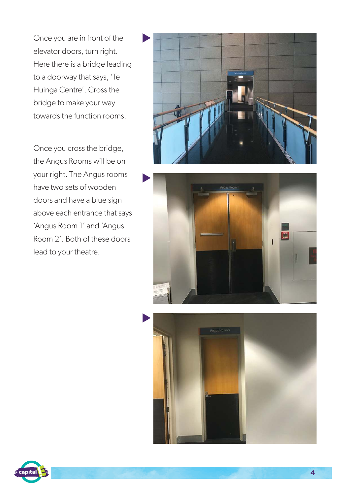Once you are in front of the elevator doors, turn right. Here there is a bridge leading to a doorway that says, 'Te Huinga Centre'. Cross the bridge to make your way towards the function rooms.

Once you cross the bridge, the Angus Rooms will be on your right. The Angus rooms have two sets of wooden doors and have a blue sign above each entrance that says 'Angus Room 1' and 'Angus Room 2'. Both of these doors lead to your theatre.







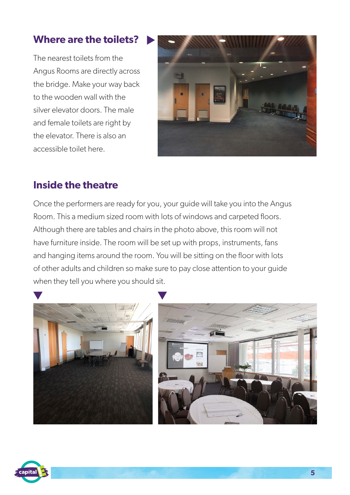#### **Where are the toilets?**

The nearest toilets from the Angus Rooms are directly across the bridge. Make your way back to the wooden wall with the silver elevator doors. The male and female toilets are right by the elevator. There is also an accessible toilet here.



#### **Inside the theatre**

Once the performers are ready for you, your guide will take you into the Angus Room. This a medium sized room with lots of windows and carpeted floors. Although there are tables and chairs in the photo above, this room will not have furniture inside. The room will be set up with props, instruments, fans and hanging items around the room. You will be sitting on the floor with lots of other adults and children so make sure to pay close attention to your guide when they tell you where you should sit.





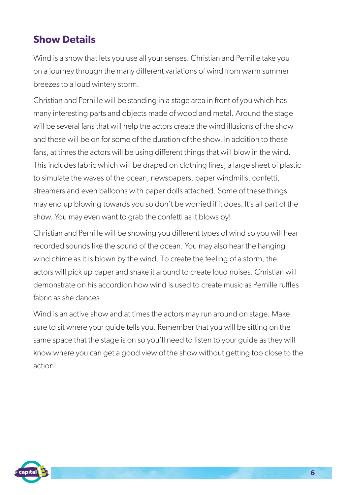#### **Show Details**

Wind is a show that lets you use all your senses. Christian and Pernille take you on a journey through the many different variations of wind from warm summer breezes to a loud wintery storm.

Christian and Pernille will be standing in a stage area in front of you which has many interesting parts and objects made of wood and metal. Around the stage will be several fans that will help the actors create the wind illusions of the show and these will be on for some of the duration of the show. In addition to these fans, at times the actors will be using different things that will blow in the wind. This includes fabric which will be draped on clothing lines, a large sheet of plastic to simulate the waves of the ocean, newspapers, paper windmills, confetti, streamers and even balloons with paper dolls attached. Some of these things may end up blowing towards you so don't be worried if it does. It's all part of the show. You may even want to grab the confetti as it blows by!

Christian and Pernille will be showing you different types of wind so you will hear recorded sounds like the sound of the ocean. You may also hear the hanging wind chime as it is blown by the wind. To create the feeling of a storm, the actors will pick up paper and shake it around to create loud noises. Christian will demonstrate on his accordion how wind is used to create music as Pernille ruffles fabric as she dances.

Wind is an active show and at times the actors may run around on stage. Make sure to sit where your guide tells you. Remember that you will be sitting on the same space that the stage is on so you'll need to listen to your guide as they will know where you can get a good view of the show without getting too close to the action!